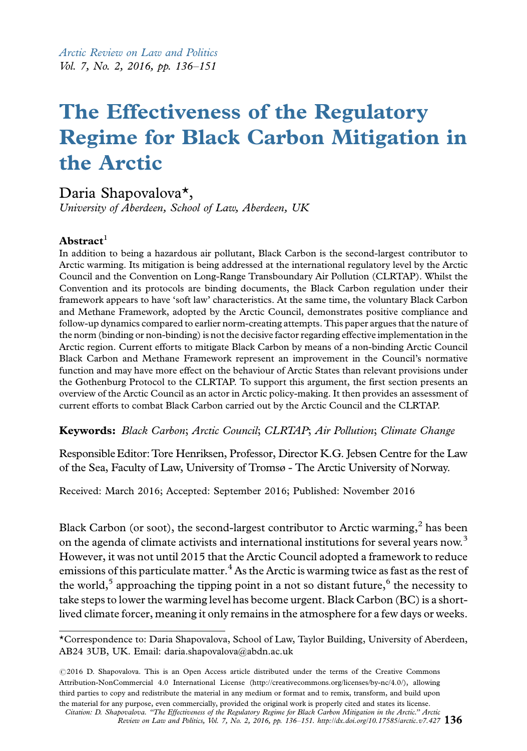Arctic Review on Law and Politics Vol. 7, No. 2, 2016, pp. 136-151

# The Effectiveness of the Regulatory Regime for Black Carbon Mitigation in the Arctic

# Daria Shapovalova\*,

University of Aberdeen, School of Law, Aberdeen, UK

#### $Abstract<sup>1</sup>$

In addition to being a hazardous air pollutant, Black Carbon is the second-largest contributor to Arctic warming. Its mitigation is being addressed at the international regulatory level by the Arctic Council and the Convention on Long-Range Transboundary Air Pollution (CLRTAP). Whilst the Convention and its protocols are binding documents, the Black Carbon regulation under their framework appears to have 'soft law' characteristics. At the same time, the voluntary Black Carbon and Methane Framework, adopted by the Arctic Council, demonstrates positive compliance and follow-up dynamics compared to earlier norm-creating attempts. This paper argues that the nature of the norm (binding or non-binding) is not the decisive factor regarding effective implementation in the Arctic region. Current efforts to mitigate Black Carbon by means of a non-binding Arctic Council Black Carbon and Methane Framework represent an improvement in the Council's normative function and may have more effect on the behaviour of Arctic States than relevant provisions under the Gothenburg Protocol to the CLRTAP. To support this argument, the first section presents an overview of the Arctic Council as an actor in Arctic policy-making. It then provides an assessment of current efforts to combat Black Carbon carried out by the Arctic Council and the CLRTAP.

Keywords: Black Carbon; Arctic Council; CLRTAP; Air Pollution; Climate Change

ResponsibleEditor:Tore Henriksen, Professor, Director K.G. Jebsen Centre for the Law of the Sea, Faculty of Law, University of Tromsø - The Arctic University of Norway.

Received: March 2016; Accepted: September 2016; Published: November 2016

Black Carbon (or soot), the second-largest contributor to Arctic warming, $^2$  has been on the agenda of climate activists and international institutions for several years now.<sup>3</sup> However, it was not until 2015 that the Arctic Council adopted a framework to reduce emissions of this particulate matter.<sup>4</sup> As the Arctic is warming twice as fast as the rest of the world,<sup>5</sup> approaching the tipping point in a not so distant future,<sup>6</sup> the necessity to take steps to lower the warming level has become urgent. Black Carbon (BC) is a shortl[ived climate forcer, meaning it only remains in the atmosphere for a few days or w](http://arcticreview.no/index.php/arctic/article/view/427)eeks.

<sup>\*</sup>Correspondence to: Daria Shapovalova, School of Law, Taylor Building, University of Aberdeen, AB24 3UB, UK. Email: daria.shapovalova@abdn.ac.uk

<sup>©2016</sup> D. Shapovalova. This is an Open Access article distributed under the terms of the Creative Commons Attribution-NonCommercial 4.0 International License (http://creativecommons.org/licenses/by-nc/4.0/), allowing third parties to copy and redistribute the material in any medium or format and to remix, transform, and build upon the material for any purpose, even commercially, provided the original work is properly cited and states its license.

Citation: D. Shapovalova. ''The Effectiveness of the Regulatory Regime for Black Carbon Mitigation in the Arctic.'' Arctic Review on Law and Politics, Vol. 7, No. 2, 2016, pp. 136–151. http://dx.doi.org/10.17585/arctic.v7.427  $136$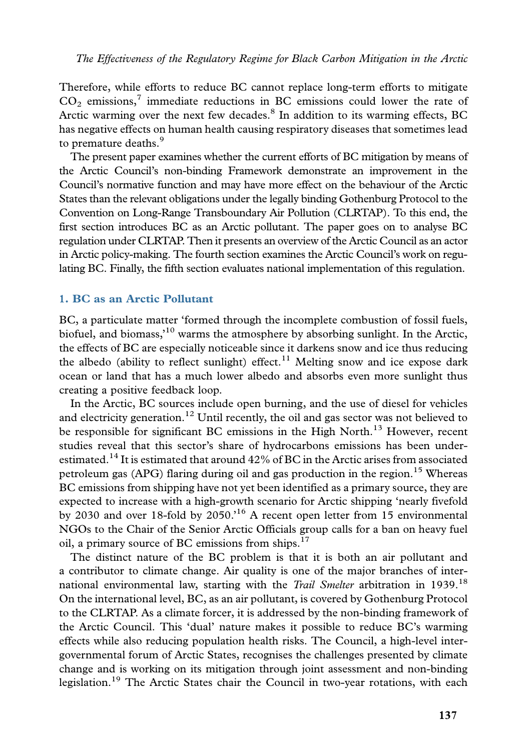Therefore, while efforts to reduce BC cannot replace long-term efforts to mitigate  $CO<sub>2</sub>$  emissions,<sup>7</sup> immediate reductions in BC emissions could lower the rate of Arctic warming over the next few decades. $8$  In addition to its warming effects, BC has negative effects on human health causing respiratory diseases that sometimes lead to premature deaths.<sup>9</sup>

The present paper examines whether the current efforts of BC mitigation by means of the Arctic Council's non-binding Framework demonstrate an improvement in the Council's normative function and may have more effect on the behaviour of the Arctic States than the relevant obligations under the legally binding Gothenburg Protocol to the Convention on Long-Range Transboundary Air Pollution (CLRTAP). To this end, the first section introduces BC as an Arctic pollutant. The paper goes on to analyse BC regulation under CLRTAP. Then it presents an overview of the Arctic Council as an actor in Arctic policy-making. The fourth section examines the Arctic Council's work on regulating BC. Finally, the fifth section evaluates national implementation of this regulation.

# 1. BC as an Arctic Pollutant

BC, a particulate matter 'formed through the incomplete combustion of fossil fuels, biofuel, and biomass,<sup>10</sup> warms the atmosphere by absorbing sunlight. In the Arctic, the effects of BC are especially noticeable since it darkens snow and ice thus reducing the albedo (ability to reflect sunlight) effect.<sup>11</sup> Melting snow and ice expose dark ocean or land that has a much lower albedo and absorbs even more sunlight thus creating a positive feedback loop.

In the Arctic, BC sources include open burning, and the use of diesel for vehicles and electricity generation.<sup>12</sup> Until recently, the oil and gas sector was not believed to be responsible for significant BC emissions in the High North.<sup>13</sup> However, recent studies reveal that this sector's share of hydrocarbons emissions has been underestimated.<sup>14</sup> It is estimated that around 42% of BC in the Arctic arises from associated petroleum gas (APG) flaring during oil and gas production in the region.<sup>15</sup> Whereas BC emissions from shipping have not yet been identified as a primary source, they are expected to increase with a high-growth scenario for Arctic shipping 'nearly fivefold by 2030 and over 18-fold by 2050.'<sup>16</sup> A recent open letter from 15 environmental NGOs to the Chair of the Senior Arctic Officials group calls for a ban on heavy fuel oil, a primary source of BC emissions from ships.<sup>17</sup>

The distinct nature of the BC problem is that it is both an air pollutant and a contributor to climate change. Air quality is one of the major branches of international environmental law, starting with the Trail Smelter arbitration in 1939.<sup>18</sup> On the international level, BC, as an air pollutant, is covered by Gothenburg Protocol to the CLRTAP. As a climate forcer, it is addressed by the non-binding framework of the Arctic Council. This 'dual' nature makes it possible to reduce BC's warming effects while also reducing population health risks. The Council, a high-level intergovernmental forum of Arctic States, recognises the challenges presented by climate change and is working on its mitigation through joint assessment and non-binding legislation.<sup>19</sup> The Arctic States chair the Council in two-year rotations, with each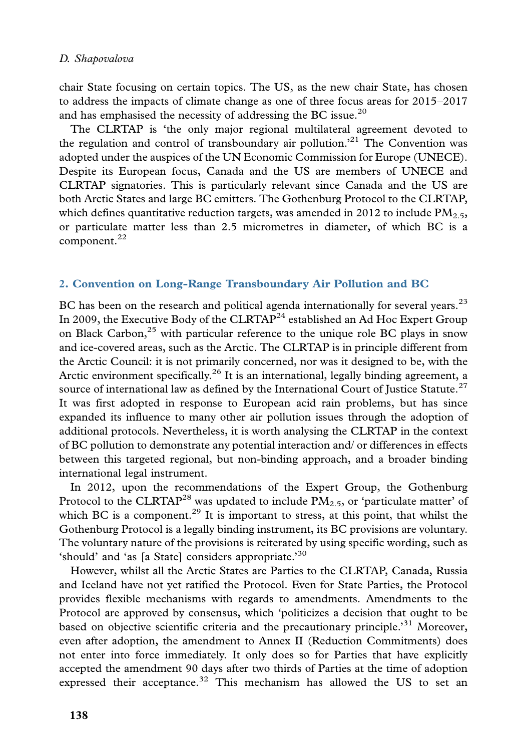chair State focusing on certain topics. The US, as the new chair State, has chosen to address the impacts of climate change as one of three focus areas for 2015-2017 and has emphasised the necessity of addressing the BC issue.<sup>20</sup>

The CLRTAP is 'the only major regional multilateral agreement devoted to the regulation and control of transboundary air pollution.<sup>21</sup> The Convention was adopted under the auspices of the UN Economic Commission for Europe (UNECE). Despite its European focus, Canada and the US are members of UNECE and CLRTAP signatories. This is particularly relevant since Canada and the US are both Arctic States and large BC emitters. The Gothenburg Protocol to the CLRTAP, which defines quantitative reduction targets, was amended in 2012 to include  $PM_{2.5}$ , or particulate matter less than 2.5 micrometres in diameter, of which BC is a component.<sup>22</sup>

# 2. Convention on Long-Range Transboundary Air Pollution and BC

BC has been on the research and political agenda internationally for several years.<sup>23</sup> In 2009, the Executive Body of the CLRTAP<sup>24</sup> established an Ad Hoc Expert Group on Black Carbon, $^{25}$  with particular reference to the unique role BC plays in snow and ice-covered areas, such as the Arctic. The CLRTAP is in principle different from the Arctic Council: it is not primarily concerned, nor was it designed to be, with the Arctic environment specifically.<sup>26</sup> It is an international, legally binding agreement, a source of international law as defined by the International Court of Justice Statute.<sup>27</sup> It was first adopted in response to European acid rain problems, but has since expanded its influence to many other air pollution issues through the adoption of additional protocols. Nevertheless, it is worth analysing the CLRTAP in the context of BC pollution to demonstrate any potential interaction and/ or differences in effects between this targeted regional, but non-binding approach, and a broader binding international legal instrument.

In 2012, upon the recommendations of the Expert Group, the Gothenburg Protocol to the CLRTAP<sup>28</sup> was updated to include  $\overline{PM}_{2.5}$ , or 'particulate matter' of which BC is a component.<sup>29</sup> It is important to stress, at this point, that whilst the Gothenburg Protocol is a legally binding instrument, its BC provisions are voluntary. The voluntary nature of the provisions is reiterated by using specific wording, such as 'should' and 'as [a State] considers appropriate.'<sup>30</sup>

However, whilst all the Arctic States are Parties to the CLRTAP, Canada, Russia and Iceland have not yet ratified the Protocol. Even for State Parties, the Protocol provides flexible mechanisms with regards to amendments. Amendments to the Protocol are approved by consensus, which 'politicizes a decision that ought to be based on objective scientific criteria and the precautionary principle.<sup>31</sup> Moreover, even after adoption, the amendment to Annex II (Reduction Commitments) does not enter into force immediately. It only does so for Parties that have explicitly accepted the amendment 90 days after two thirds of Parties at the time of adoption expressed their acceptance. $32$  This mechanism has allowed the US to set an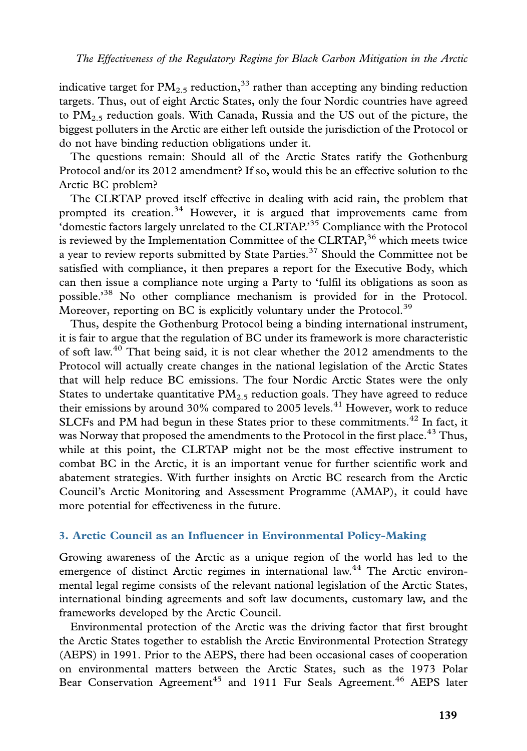indicative target for  $PM_{2.5}$  reduction,<sup>33</sup> rather than accepting any binding reduction targets. Thus, out of eight Arctic States, only the four Nordic countries have agreed to  $PM_{2.5}$  reduction goals. With Canada, Russia and the US out of the picture, the biggest polluters in the Arctic are either left outside the jurisdiction of the Protocol or do not have binding reduction obligations under it.

The questions remain: Should all of the Arctic States ratify the Gothenburg Protocol and/or its 2012 amendment? If so, would this be an effective solution to the Arctic BC problem?

The CLRTAP proved itself effective in dealing with acid rain, the problem that prompted its creation.<sup>34</sup> However, it is argued that improvements came from 'domestic factors largely unrelated to the CLRTAP.'35 Compliance with the Protocol is reviewed by the Implementation Committee of the  $CLRTAP$ ,<sup>36</sup> which meets twice a year to review reports submitted by State Parties.<sup>37</sup> Should the Committee not be satisfied with compliance, it then prepares a report for the Executive Body, which can then issue a compliance note urging a Party to 'fulfil its obligations as soon as possible.'<sup>38</sup> No other compliance mechanism is provided for in the Protocol. Moreover, reporting on BC is explicitly voluntary under the Protocol.<sup>39</sup>

Thus, despite the Gothenburg Protocol being a binding international instrument, it is fair to argue that the regulation of BC under its framework is more characteristic of soft law.<sup>40</sup> That being said, it is not clear whether the 2012 amendments to the Protocol will actually create changes in the national legislation of the Arctic States that will help reduce BC emissions. The four Nordic Arctic States were the only States to undertake quantitative  $PM_{2.5}$  reduction goals. They have agreed to reduce their emissions by around  $30\%$  compared to 2005 levels.<sup>41</sup> However, work to reduce SLCFs and PM had begun in these States prior to these commitments.<sup>42</sup> In fact, it was Norway that proposed the amendments to the Protocol in the first place.<sup>43</sup> Thus, while at this point, the CLRTAP might not be the most effective instrument to combat BC in the Arctic, it is an important venue for further scientific work and abatement strategies. With further insights on Arctic BC research from the Arctic Council's Arctic Monitoring and Assessment Programme (AMAP), it could have more potential for effectiveness in the future.

#### 3. Arctic Council as an Influencer in Environmental Policy-Making

Growing awareness of the Arctic as a unique region of the world has led to the emergence of distinct Arctic regimes in international law.<sup>44</sup> The Arctic environmental legal regime consists of the relevant national legislation of the Arctic States, international binding agreements and soft law documents, customary law, and the frameworks developed by the Arctic Council.

Environmental protection of the Arctic was the driving factor that first brought the Arctic States together to establish the Arctic Environmental Protection Strategy (AEPS) in 1991. Prior to the AEPS, there had been occasional cases of cooperation on environmental matters between the Arctic States, such as the 1973 Polar Bear Conservation Agreement<sup>45</sup> and 1911 Fur Seals Agreement.<sup>46</sup> AEPS later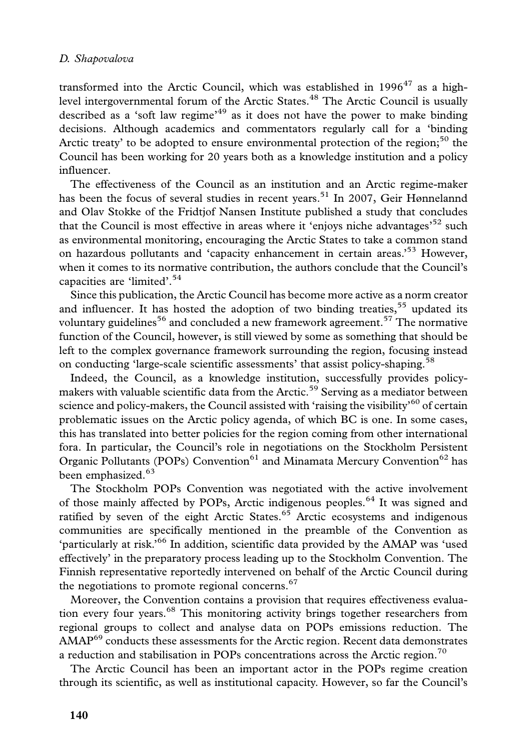transformed into the Arctic Council, which was established in  $1996^{47}$  as a highlevel intergovernmental forum of the Arctic States.<sup>48</sup> The Arctic Council is usually described as a 'soft law regime'<sup>49</sup> as it does not have the power to make binding decisions. Although academics and commentators regularly call for a 'binding Arctic treaty' to be adopted to ensure environmental protection of the region;<sup>50</sup> the Council has been working for 20 years both as a knowledge institution and a policy influencer.

The effectiveness of the Council as an institution and an Arctic regime-maker has been the focus of several studies in recent years.<sup>51</sup> In 2007, Geir Hønnelannd and Olav Stokke of the Fridtjof Nansen Institute published a study that concludes that the Council is most effective in areas where it 'enjoys niche advantages'<sup>52</sup> such as environmental monitoring, encouraging the Arctic States to take a common stand on hazardous pollutants and 'capacity enhancement in certain areas.<sup>53</sup> However, when it comes to its normative contribution, the authors conclude that the Council's capacities are 'limited'.<sup>54</sup>

Since this publication, the Arctic Council has become more active as a norm creator and influencer. It has hosted the adoption of two binding treaties,<sup>55</sup> updated its voluntary guidelines<sup>56</sup> and concluded a new framework agreement.<sup>57</sup> The normative function of the Council, however, is still viewed by some as something that should be left to the complex governance framework surrounding the region, focusing instead on conducting 'large-scale scientific assessments' that assist policy-shaping.<sup>58</sup>

Indeed, the Council, as a knowledge institution, successfully provides policymakers with valuable scientific data from the Arctic.<sup>59</sup> Serving as a mediator between science and policy-makers, the Council assisted with 'raising the visibility'<sup>60</sup> of certain problematic issues on the Arctic policy agenda, of which BC is one. In some cases, this has translated into better policies for the region coming from other international fora. In particular, the Council's role in negotiations on the Stockholm Persistent Organic Pollutants (POPs) Convention<sup>61</sup> and Minamata Mercury Convention<sup>62</sup> has been emphasized.<sup>63</sup>

The Stockholm POPs Convention was negotiated with the active involvement of those mainly affected by POPs, Arctic indigenous peoples.<sup>64</sup> It was signed and ratified by seven of the eight Arctic States. $65$  Arctic ecosystems and indigenous communities are specifically mentioned in the preamble of the Convention as 'particularly at risk.'<sup>66</sup> In addition, scientific data provided by the AMAP was 'used effectively' in the preparatory process leading up to the Stockholm Convention. The Finnish representative reportedly intervened on behalf of the Arctic Council during the negotiations to promote regional concerns. $67$ 

Moreover, the Convention contains a provision that requires effectiveness evaluation every four years.<sup>68</sup> This monitoring activity brings together researchers from regional groups to collect and analyse data on POPs emissions reduction. The AMAP<sup>69</sup> conducts these assessments for the Arctic region. Recent data demonstrates a reduction and stabilisation in POPs concentrations across the Arctic region.<sup>70</sup>

The Arctic Council has been an important actor in the POPs regime creation through its scientific, as well as institutional capacity. However, so far the Council's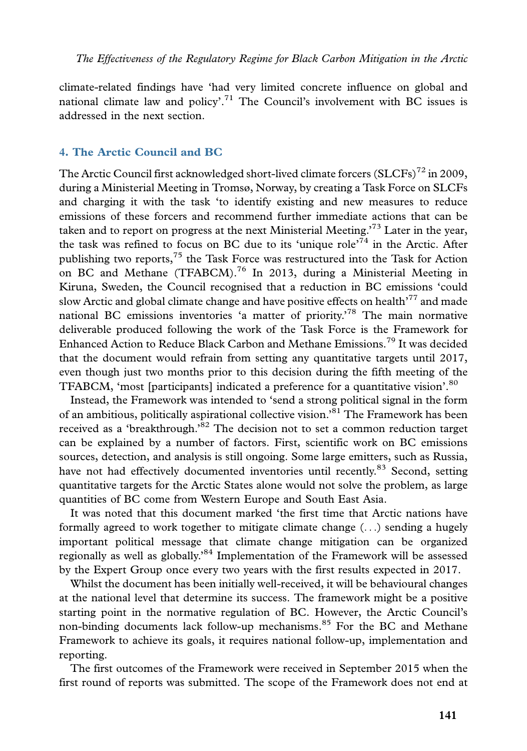climate-related findings have 'had very limited concrete influence on global and national climate law and policy'.<sup>71</sup> The Council's involvement with BC issues is addressed in the next section.

## 4. The Arctic Council and BC

The Arctic Council first acknowledged short-lived climate forcers  $(SLCFs)^{72}$  in 2009, during a Ministerial Meeting in Tromsø, Norway, by creating a Task Force on SLCFs and charging it with the task 'to identify existing and new measures to reduce emissions of these forcers and recommend further immediate actions that can be taken and to report on progress at the next Ministerial Meeting.'<sup>73</sup> Later in the year, the task was refined to focus on BC due to its 'unique role'<sup>74</sup> in the Arctic. After publishing two reports,<sup>75</sup> the Task Force was restructured into the Task for Action on BC and Methane (TFABCM).<sup>76</sup> In 2013, during a Ministerial Meeting in Kiruna, Sweden, the Council recognised that a reduction in BC emissions 'could slow Arctic and global climate change and have positive effects on health<sup>'77</sup> and made national BC emissions inventories 'a matter of priority.'<sup>78</sup> The main normative deliverable produced following the work of the Task Force is the Framework for Enhanced Action to Reduce Black Carbon and Methane Emissions.<sup>79</sup> It was decided that the document would refrain from setting any quantitative targets until 2017, even though just two months prior to this decision during the fifth meeting of the TFABCM, 'most [participants] indicated a preference for a quantitative vision'.<sup>80</sup>

Instead, the Framework was intended to 'send a strong political signal in the form of an ambitious, politically aspirational collective vision.'<sup>81</sup> The Framework has been received as a 'breakthrough.<sup>82</sup> The decision not to set a common reduction target can be explained by a number of factors. First, scientific work on BC emissions sources, detection, and analysis is still ongoing. Some large emitters, such as Russia, have not had effectively documented inventories until recently.<sup>83</sup> Second, setting quantitative targets for the Arctic States alone would not solve the problem, as large quantities of BC come from Western Europe and South East Asia.

It was noted that this document marked 'the first time that Arctic nations have formally agreed to work together to mitigate climate change  $(\ldots)$  sending a hugely important political message that climate change mitigation can be organized regionally as well as globally.'<sup>84</sup> Implementation of the Framework will be assessed by the Expert Group once every two years with the first results expected in 2017.

Whilst the document has been initially well-received, it will be behavioural changes at the national level that determine its success. The framework might be a positive starting point in the normative regulation of BC. However, the Arctic Council's non-binding documents lack follow-up mechanisms.<sup>85</sup> For the BC and Methane Framework to achieve its goals, it requires national follow-up, implementation and reporting.

The first outcomes of the Framework were received in September 2015 when the first round of reports was submitted. The scope of the Framework does not end at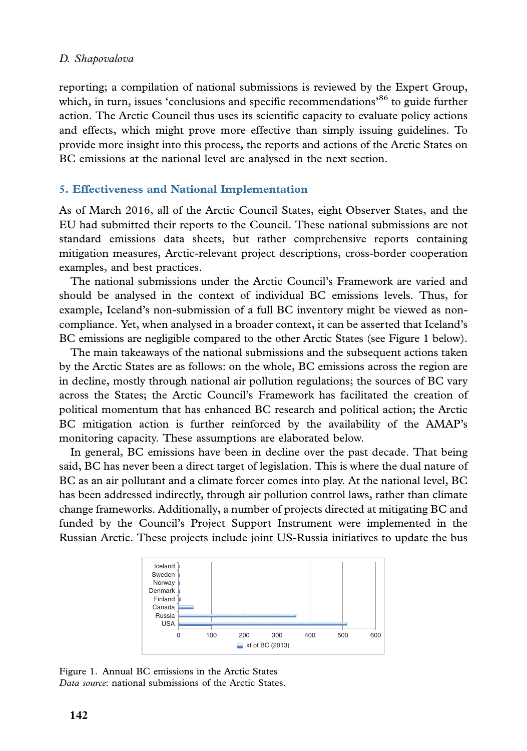reporting; a compilation of national submissions is reviewed by the Expert Group, which, in turn, issues 'conclusions and specific recommendations'<sup>86</sup> to guide further action. The Arctic Council thus uses its scientific capacity to evaluate policy actions and effects, which might prove more effective than simply issuing guidelines. To provide more insight into this process, the reports and actions of the Arctic States on BC emissions at the national level are analysed in the next section.

# 5. Effectiveness and National Implementation

As of March 2016, all of the Arctic Council States, eight Observer States, and the EU had submitted their reports to the Council. These national submissions are not standard emissions data sheets, but rather comprehensive reports containing mitigation measures, Arctic-relevant project descriptions, cross-border cooperation examples, and best practices.

The national submissions under the Arctic Council's Framework are varied and should be analysed in the context of individual BC emissions levels. Thus, for example, Iceland's non-submission of a full BC inventory might be viewed as noncompliance. Yet, when analysed in a broader context, it can be asserted that Iceland's BC emissions are negligible compared to the other Arctic States (see Figure 1 below).

The main takeaways of the national submissions and the subsequent actions taken by the Arctic States are as follows: on the whole, BC emissions across the region are in decline, mostly through national air pollution regulations; the sources of BC vary across the States; the Arctic Council's Framework has facilitated the creation of political momentum that has enhanced BC research and political action; the Arctic BC mitigation action is further reinforced by the availability of the AMAP's monitoring capacity. These assumptions are elaborated below.

In general, BC emissions have been in decline over the past decade. That being said, BC has never been a direct target of legislation. This is where the dual nature of BC as an air pollutant and a climate forcer comes into play. At the national level, BC has been addressed indirectly, through air pollution control laws, rather than climate change frameworks. Additionally, a number of projects directed at mitigating BC and funded by the Council's Project Support Instrument were implemented in the Russian Arctic. These projects include joint US-Russia initiatives to update the bus



Figure 1. Annual BC emissions in the Arctic States Data source: national submissions of the Arctic States.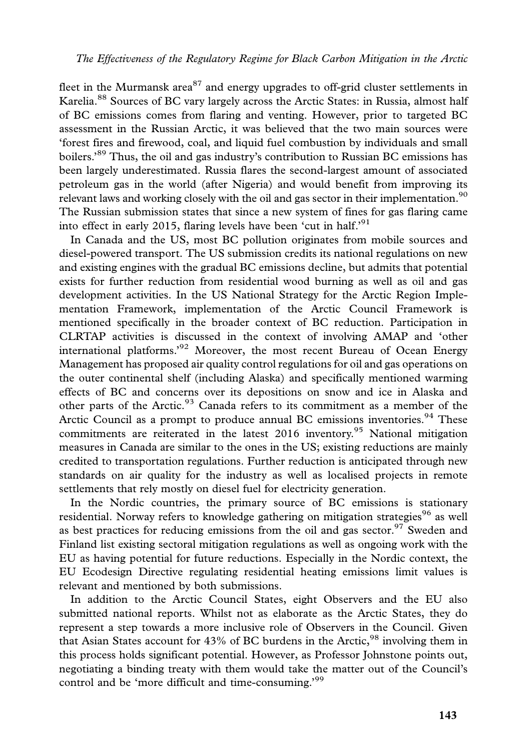fleet in the Murmansk area<sup>87</sup> and energy upgrades to off-grid cluster settlements in Karelia.<sup>88</sup> Sources of BC vary largely across the Arctic States: in Russia, almost half of BC emissions comes from flaring and venting. However, prior to targeted BC assessment in the Russian Arctic, it was believed that the two main sources were 'forest fires and firewood, coal, and liquid fuel combustion by individuals and small boilers.'<sup>89</sup> Thus, the oil and gas industry's contribution to Russian BC emissions has been largely underestimated. Russia flares the second-largest amount of associated petroleum gas in the world (after Nigeria) and would benefit from improving its relevant laws and working closely with the oil and gas sector in their implementation.<sup>90</sup> The Russian submission states that since a new system of fines for gas flaring came into effect in early 2015, flaring levels have been 'cut in half.'<sup>91</sup>

In Canada and the US, most BC pollution originates from mobile sources and diesel-powered transport. The US submission credits its national regulations on new and existing engines with the gradual BC emissions decline, but admits that potential exists for further reduction from residential wood burning as well as oil and gas development activities. In the US National Strategy for the Arctic Region Implementation Framework, implementation of the Arctic Council Framework is mentioned specifically in the broader context of BC reduction. Participation in CLRTAP activities is discussed in the context of involving AMAP and 'other international platforms.'<sup>92</sup> Moreover, the most recent Bureau of Ocean Energy Management has proposed air quality control regulations for oil and gas operations on the outer continental shelf (including Alaska) and specifically mentioned warming effects of BC and concerns over its depositions on snow and ice in Alaska and other parts of the Arctic.<sup>93</sup> Canada refers to its commitment as a member of the Arctic Council as a prompt to produce annual BC emissions inventories.<sup>94</sup> These commitments are reiterated in the latest  $2016$  inventory.<sup>95</sup> National mitigation measures in Canada are similar to the ones in the US; existing reductions are mainly credited to transportation regulations. Further reduction is anticipated through new standards on air quality for the industry as well as localised projects in remote settlements that rely mostly on diesel fuel for electricity generation.

In the Nordic countries, the primary source of BC emissions is stationary residential. Norway refers to knowledge gathering on mitigation strategies<sup>96</sup> as well as best practices for reducing emissions from the oil and gas sector.<sup>97</sup> Sweden and Finland list existing sectoral mitigation regulations as well as ongoing work with the EU as having potential for future reductions. Especially in the Nordic context, the EU Ecodesign Directive regulating residential heating emissions limit values is relevant and mentioned by both submissions.

In addition to the Arctic Council States, eight Observers and the EU also submitted national reports. Whilst not as elaborate as the Arctic States, they do represent a step towards a more inclusive role of Observers in the Council. Given that Asian States account for  $43\%$  of BC burdens in the Arctic,<sup>98</sup> involving them in this process holds significant potential. However, as Professor Johnstone points out, negotiating a binding treaty with them would take the matter out of the Council's control and be 'more difficult and time-consuming.<sup>99</sup>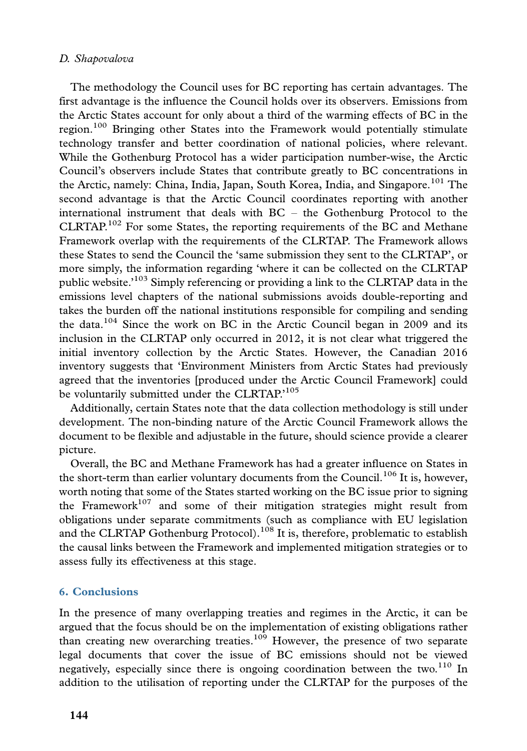The methodology the Council uses for BC reporting has certain advantages. The first advantage is the influence the Council holds over its observers. Emissions from the Arctic States account for only about a third of the warming effects of BC in the region.<sup>100</sup> Bringing other States into the Framework would potentially stimulate technology transfer and better coordination of national policies, where relevant. While the Gothenburg Protocol has a wider participation number-wise, the Arctic Council's observers include States that contribute greatly to BC concentrations in the Arctic, namely: China, India, Japan, South Korea, India, and Singapore.<sup>101</sup> The second advantage is that the Arctic Council coordinates reporting with another international instrument that deals with  $BC -$  the Gothenburg Protocol to the  $CLRTAP$ <sup>102</sup> For some States, the reporting requirements of the BC and Methane Framework overlap with the requirements of the CLRTAP. The Framework allows these States to send the Council the 'same submission they sent to the CLRTAP', or more simply, the information regarding 'where it can be collected on the CLRTAP public website.'103 Simply referencing or providing a link to the CLRTAP data in the emissions level chapters of the national submissions avoids double-reporting and takes the burden off the national institutions responsible for compiling and sending the data.<sup>104</sup> Since the work on BC in the Arctic Council began in 2009 and its inclusion in the CLRTAP only occurred in 2012, it is not clear what triggered the initial inventory collection by the Arctic States. However, the Canadian 2016 inventory suggests that 'Environment Ministers from Arctic States had previously agreed that the inventories [produced under the Arctic Council Framework] could be voluntarily submitted under the CLRTAP.'<sup>105</sup>

Additionally, certain States note that the data collection methodology is still under development. The non-binding nature of the Arctic Council Framework allows the document to be flexible and adjustable in the future, should science provide a clearer picture.

Overall, the BC and Methane Framework has had a greater influence on States in the short-term than earlier voluntary documents from the Council.<sup>106</sup> It is, however, worth noting that some of the States started working on the BC issue prior to signing the Framework<sup>107</sup> and some of their mitigation strategies might result from obligations under separate commitments (such as compliance with EU legislation and the CLRTAP Gothenburg Protocol).<sup>108</sup> It is, therefore, problematic to establish the causal links between the Framework and implemented mitigation strategies or to assess fully its effectiveness at this stage.

# 6. Conclusions

In the presence of many overlapping treaties and regimes in the Arctic, it can be argued that the focus should be on the implementation of existing obligations rather than creating new overarching treaties.<sup>109</sup> However, the presence of two separate legal documents that cover the issue of BC emissions should not be viewed negatively, especially since there is ongoing coordination between the two.<sup>110</sup> In addition to the utilisation of reporting under the CLRTAP for the purposes of the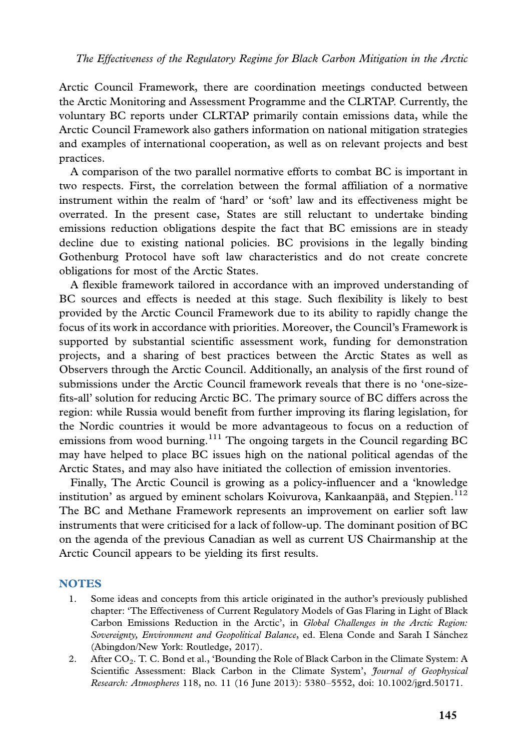Arctic Council Framework, there are coordination meetings conducted between the Arctic Monitoring and Assessment Programme and the CLRTAP. Currently, the voluntary BC reports under CLRTAP primarily contain emissions data, while the Arctic Council Framework also gathers information on national mitigation strategies and examples of international cooperation, as well as on relevant projects and best practices.

A comparison of the two parallel normative efforts to combat BC is important in two respects. First, the correlation between the formal affiliation of a normative instrument within the realm of 'hard' or 'soft' law and its effectiveness might be overrated. In the present case, States are still reluctant to undertake binding emissions reduction obligations despite the fact that BC emissions are in steady decline due to existing national policies. BC provisions in the legally binding Gothenburg Protocol have soft law characteristics and do not create concrete obligations for most of the Arctic States.

A flexible framework tailored in accordance with an improved understanding of BC sources and effects is needed at this stage. Such flexibility is likely to best provided by the Arctic Council Framework due to its ability to rapidly change the focus of its work in accordance with priorities. Moreover, the Council's Framework is supported by substantial scientific assessment work, funding for demonstration projects, and a sharing of best practices between the Arctic States as well as Observers through the Arctic Council. Additionally, an analysis of the first round of submissions under the Arctic Council framework reveals that there is no 'one-sizefits-all' solution for reducing Arctic BC. The primary source of BC differs across the region: while Russia would benefit from further improving its flaring legislation, for the Nordic countries it would be more advantageous to focus on a reduction of emissions from wood burning.<sup>111</sup> The ongoing targets in the Council regarding BC may have helped to place BC issues high on the national political agendas of the Arctic States, and may also have initiated the collection of emission inventories.

Finally, The Arctic Council is growing as a policy-influencer and a 'knowledge institution' as argued by eminent scholars Koivurova, Kankaanpää, and Stepien.<sup>112</sup> The BC and Methane Framework represents an improvement on earlier soft law instruments that were criticised for a lack of follow-up. The dominant position of BC on the agenda of the previous Canadian as well as current US Chairmanship at the Arctic Council appears to be yielding its first results.

#### **NOTES**

- 1. Some ideas and concepts from this article originated in the author's previously published chapter: 'The Effectiveness of Current Regulatory Models of Gas Flaring in Light of Black Carbon Emissions Reduction in the Arctic', in Global Challenges in the Arctic Region: Sovereignty, Environment and Geopolitical Balance, ed. Elena Conde and Sarah I Sánchez (Abingdon/New York: Routledge, 2017).
- 2. After CO<sub>2</sub>. T. C. Bond et al., 'Bounding the Role of Black Carbon in the Climate System: A Scientific Assessment: Black Carbon in the Climate System', Journal of Geophysical Research: Atmospheres 118, no. 11 (16 June 2013): 5380-5552, doi: 10.1002/jgrd.50171.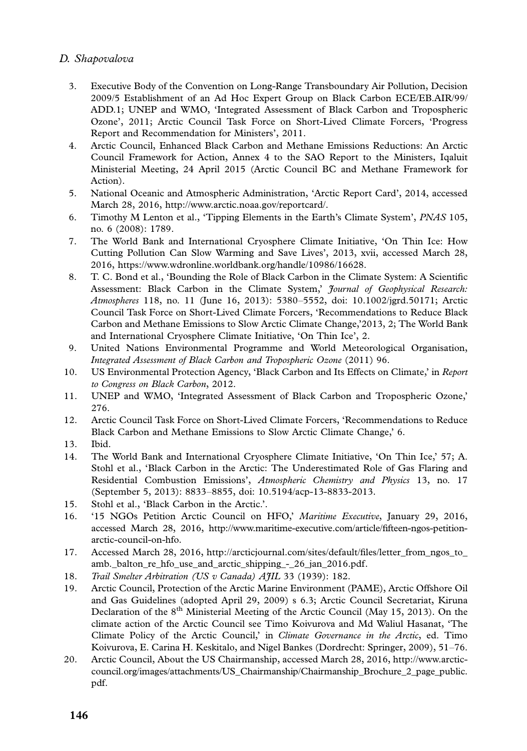- 3. Executive Body of the Convention on Long-Range Transboundary Air Pollution, Decision 2009/5 Establishment of an Ad Hoc Expert Group on Black Carbon ECE/EB.AIR/99/ ADD.1; UNEP a[nd WMO, 'Integrated Assessment of](http://www.arctic.noaa.gov/reportcard/) Black Carbon and Tropospheric Ozone', 2011; Arctic Council Task Force on Short-Lived Climate Forcers, 'Progress Report and Recommendation for Ministers', 2011.
- 4. Arctic Council, Enhanced Black Carbon and Methane Emissions Reductions: An Arctic Council Framework for Action, Annex 4 to the SAO Report to the Ministers, Iqaluit Minis[terial Meeting, 24 April 2015 \(Arctic Council BC and M](https://www.wdronline.worldbank.org/handle/10986/16628)ethane Framework for Action).
- 5. National Oceanic and Atmospheric Administration, 'Arctic Report Card', 2014, accessed March 28, 2016, http://www.arctic.noaa.gov/reportcard/.
- 6. Timothy M Lenton et al., 'Tipping Elements in the Earth's Climate System', PNAS 105, no. 6 (2008): 1789.
- 7. The World Bank and International Cryosphere Climate Initiative, 'On Thin Ice: How Cutting Pollution Can Slow Warming and Save Lives', 2013, xvii, accessed March 28, 2016, https://www.wdronline.worldbank.org/handle/10986/16628.
- 8. T. C. Bond et al., 'Bounding the Role of Black Carbon in the Climate System: A Scientific Assessment: Black Carbon in the Climate System,' Journal of Geophysical Research: Atmospheres 118, no. 11 (June 16, 2013): 5380-5552, doi: 10.1002/jgrd.50171; Arctic Council Task Force on Short-Lived Climate Forcers, 'Recommendations to Reduce Black Carbon and Methane Emissions to Slow Arctic Climate Change,'2013, 2; The World Bank and International Cryosphere Climate Initiative, 'On Thin Ice', 2.
- 9. United Nations Environmental Programme and World Meteorological Organisation, Integrated Assessment of Black Carbon and Tropospheric Ozone (2011) 96.
- 10. US Environmental Protection Agency, 'Black Carbon and Its Effects on Climate,' in Report to Congress on Black Carbon, 2012.
- 11. UNEP and WMO, 'Integrated Assessment of Black Carbon and Tropospheric Ozone,' 276.
- 12. Arctic Council Task Force on Short-Lived Climate Forcers, 'Recommendations to Reduce Black Carbon and Methane [Emissions to Slow Arctic Climate Change,' 6.](http://www.maritime-executive.com/article/fifteen-ngos-petition-arctic-council-on-hfo)
- 13. [Ibid.](http://www.maritime-executive.com/article/fifteen-ngos-petition-arctic-council-on-hfo)
- 14. The World Bank and Inter[national Cryosphere Climate Initiative, 'On Thin Ice,' 57; A.](http://arcticjournal.com/sites/default/files/letter_from_ngos_to_amb._balton_re_hfo_use_and_arctic_shipping_-_26_jan_2016.pdf) [Stohl et al., 'Black Carbon in the Arctic: The Underestimated R](http://arcticjournal.com/sites/default/files/letter_from_ngos_to_amb._balton_re_hfo_use_and_arctic_shipping_-_26_jan_2016.pdf)ole of Gas Flaring and Residential Combustion Emissions', Atmospheric Chemistry and Physics 13, no. 17 (September 5, 2013): 8833-8855, doi: 10.5194/acp-13-8833-2013.
- 15. Stohl et al., 'Black Carbon in the Arctic.'.
- 16. '15 NGOs Petition Arctic Council on HFO,' Maritime Executive, January 29, 2016, accessed March 28, 2016, http://www.maritime-executive.com/article/fifteen-ngos-petitionarctic-council-on-hfo.
- 17. Accessed March 28, 2016, http://arcticjournal.com/sites/default/files/letter\_from\_ngos\_to\_ amb.\_balton\_re\_hfo\_use\_and\_arctic\_shipping\_-\_26\_jan\_2016.pdf.
- 18. [Trail Smelter Arbitration \(US v Canada\) AJIL](http://www.arctic-council.org/images/attachments/US_Chairmanship/Chairmanship_Brochure_2_page_public.pdf) 33 (1939): 182.
- 19. [Arc](http://www.arctic-council.org/images/attachments/US_Chairmanship/Chairmanship_Brochure_2_page_public.pdf)tic Council, Protection of the Arctic Marine Environment (PAME), Arctic Offshore Oil and Gas Guidelines (adopted April 29, 2009) s 6.3; Arctic Council Secretariat, Kiruna Declaration of the 8<sup>th</sup> Ministerial Meeting of the Arctic Council (May 15, 2013). On the climate action of the Arctic Council see Timo Koivurova and Md Waliul Hasanat, 'The Climate Policy of the Arctic Council,' in Climate Governance in the Arctic, ed. Timo Koivurova, E. Carina H. Keskitalo, and Nigel Bankes (Dordrecht: Springer, 2009), 51-76.
- 20. Arctic Council, About the US Chairmanship, accessed March 28, 2016, http://www.arcticcouncil.org/images/attachments/US\_Chairmanship/Chairmanship\_Brochure\_2\_page\_public. pdf.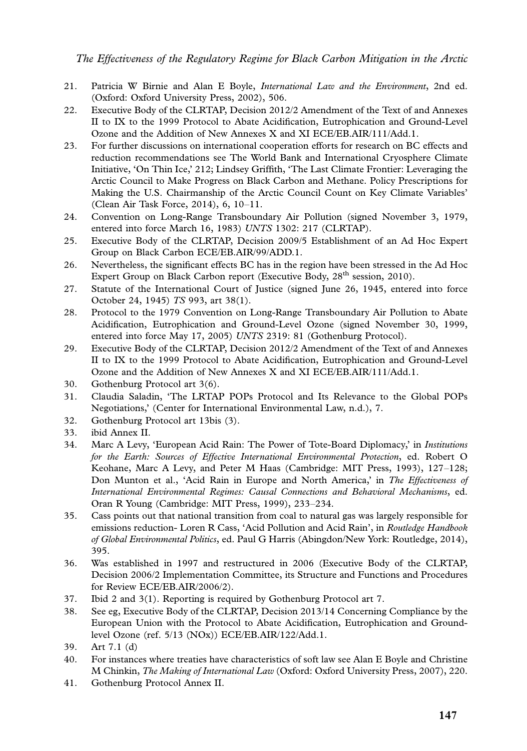- 21. Patricia W Birnie and Alan E Boyle, International Law and the Environment, 2nd ed. (Oxford: Oxford University Press, 2002), 506.
- 22. Executive Body of the CLRTAP, Decision 2012/2 Amendment of the Text of and Annexes II to IX to the 1999 Protocol to Abate Acidification, Eutrophication and Ground-Level Ozone and the Addition of New Annexes X and XI ECE/EB.AIR/111/Add.1.
- 23. For further discussions on international cooperation efforts for research on BC effects and reduction recommendations see The World Bank and International Cryosphere Climate Initiative, 'On Thin Ice,' 212; Lindsey Griffith, 'The Last Climate Frontier: Leveraging the Arctic Council to Make Progress on Black Carbon and Methane. Policy Prescriptions for Making the U.S. Chairmanship of the Arctic Council Count on Key Climate Variables' (Clean Air Task Force, 2014), 6, 10-11.
- 24. Convention on Long-Range Transboundary Air Pollution (signed November 3, 1979, entered into force March 16, 1983) UNTS 1302: 217 (CLRTAP).
- 25. Executive Body of the CLRTAP, Decision 2009/5 Establishment of an Ad Hoc Expert Group on Black Carbon ECE/EB.AIR/99/ADD.1.
- 26. Nevertheless, the significant effects BC has in the region have been stressed in the Ad Hoc Expert Group on Black Carbon report (Executive Body, 28<sup>th</sup> session, 2010).
- 27. Statute of the International Court of Justice (signed June 26, 1945, entered into force October 24, 1945) TS 993, art 38(1).
- 28. Protocol to the 1979 Convention on Long-Range Transboundary Air Pollution to Abate Acidification, Eutrophication and Ground-Level Ozone (signed November 30, 1999, entered into force May 17, 2005) UNTS 2319: 81 (Gothenburg Protocol).
- 29. Executive Body of the CLRTAP, Decision 2012/2 Amendment of the Text of and Annexes II to IX to the 1999 Protocol to Abate Acidification, Eutrophication and Ground-Level Ozone and the Addition of New Annexes X and XI ECE/EB.AIR/111/Add.1.
- 30. Gothenburg Protocol art 3(6).
- 31. Claudia Saladin, 'The LRTAP POPs Protocol and Its Relevance to the Global POPs Negotiations,' (Center for International Environmental Law, n.d.), 7.
- 32. Gothenburg Protocol art 13bis (3).
- 33. ibid Annex II.
- 34. Marc A Levy, 'European Acid Rain: The Power of Tote-Board Diplomacy,' in Institutions for the Earth: Sources of Effective International Environmental Protection, ed. Robert O Keohane, Marc A Levy, and Peter M Haas (Cambridge: MIT Press, 1993), 127-128; Don Munton et al., 'Acid Rain in Europe and North America,' in The Effectiveness of International Environmental Regimes: Causal Connections and Behavioral Mechanisms, ed. Oran R Young (Cambridge: MIT Press, 1999), 233-234.
- 35. Cass points out that national transition from coal to natural gas was largely responsible for emissions reduction- Loren R Cass, 'Acid Pollution and Acid Rain', in *Routledge Handbook* of Global Environmental Politics, ed. Paul G Harris (Abingdon/New York: Routledge, 2014), 395.
- 36. Was established in 1997 and restructured in 2006 (Executive Body of the CLRTAP, Decision 2006/2 Implementation Committee, its Structure and Functions and Procedures for Review ECE/EB.AIR/2006/2).
- 37. Ibid 2 and 3(1). Reporting is required by Gothenburg Protocol art 7.
- 38. See eg, Executive Body of the CLRTAP, Decision 2013/14 Concerning Compliance by the European Union with the Protocol to Abate Acidification, Eutrophication and Groundlevel Ozone (ref. 5/13 (NOx)) ECE/EB.AIR/122/Add.1.
- 39. Art 7.1 (d)
- 40. For instances where treaties have characteristics of soft law see Alan E Boyle and Christine M Chinkin, The Making of International Law (Oxford: Oxford University Press, 2007), 220.
- 41. Gothenburg Protocol Annex II.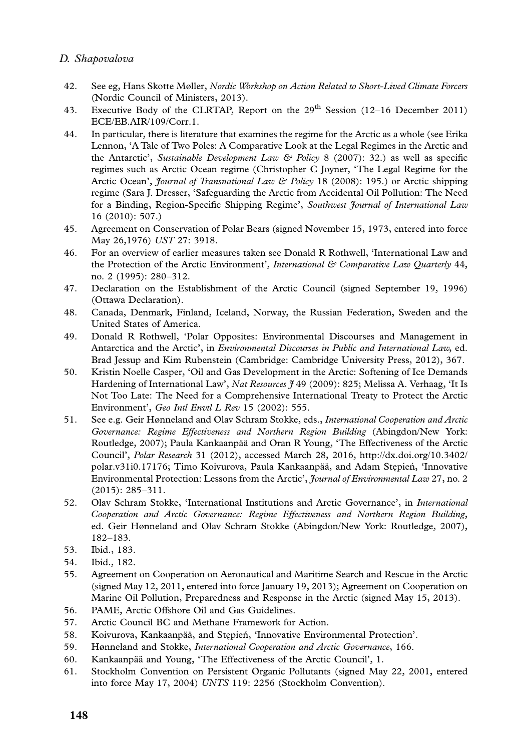- 42. See eg, Hans Skotte Møller, Nordic Workshop on Action Related to Short-Lived Climate Forcers (Nordic Council of Ministers, 2013).
- 43. Executive Body of the CLRTAP, Report on the 29<sup>th</sup> Session (12-16 December 2011) ECE/EB.AIR/109/Corr.1.
- 44. In particular, there is literature that examines the regime for the Arctic as a whole (see Erika Lennon, 'A Tale of Two Poles: A Comparative Look at the Legal Regimes in the Arctic and the Antarctic', Sustainable Development Law & Policy 8 (2007): 32.) as well as specific regimes such as Arctic Ocean regime (Christopher C Joyner, 'The Legal Regime for the Arctic Ocean', *Journal of Transnational Law & Policy* 18 (2008): 195.) or Arctic shipping regime (Sara J. Dresser, 'Safeguarding the Arctic from Accidental Oil Pollution: The Need for a Binding, Region-Specific Shipping Regime', Southwest Journal of International Law 16 (2010): 507.)
- 45. Agreement on Conservation of Polar Bears (signed November 15, 1973, entered into force May 26,1976) UST 27: 3918.
- 46. For an overview of earlier measures taken see Donald R Rothwell, 'International Law and the Protection of the Arctic Environment', International & Comparative Law Quarterly 44, no. 2 (1995): 280-312.
- 47. Declaration on the Establishment of the Arctic Council (signed September 19, 1996) (Ottawa Declaration).
- 48. Canada, Denmark, Finland, Iceland, Norway, the Russian Federation, Sweden and the United States of America.
- 49. Donald R Rothwell, 'Polar Opposites: Environmental Discourses and Management in Antarctica and the Arctic', in Environmental Discourses in Public and International Law, ed. Brad Jessup and Kim Rubenstein (Cambridge: Cambridge Uni[versity Press, 2012\), 367.](http://dx.doi.org/10.3402/polar.v31i0.17176)
- 50. [Kristin Noelle Cas](http://dx.doi.org/10.3402/polar.v31i0.17176)per, 'Oil and Gas Development in the Arctic: Softening of Ice Demands Hardening of International Law', Nat Resources  $\frac{9}{49}$  (2009): 825; Melissa A. Verhaag, 'It Is Not Too Late: The Need for a Comprehensive International Treaty to Protect the Arctic Environment', Geo Intl Envtl L Rev 15 (2002): 555.
- 51. See e.g. Geir Hønneland and Olav Schram Stokke, eds., International Cooperation and Arctic Governance: Regime Effectiveness and Northern Region Building (Abingdon/New York: Routledge, 2007); Paula Kankaanpää and Oran R Young, 'The Effectiveness of the Arctic Council', Polar Research 31 (2012), accessed March 28, 2016, http://dx.doi.org/10.3402/ polar.v31i0.17176; Timo Koivurova, Paula Kankaanpää, and Adam Stępień, 'Innovative Environmental Protection: Lessons from the Arctic', Journal of Environmental Law 27, no. 2 (2015): 285-311.
- 52. Olav Schram Stokke, 'International Institutions and Arctic Governance', in International Cooperation and Arctic Governance: Regime Effectiveness and Northern Region Building, ed. Geir Hønneland and Olav Schram Stokke (Abingdon/New York: Routledge, 2007), 182-183.
- 53. Ibid., 183.
- 54. Ibid., 182.
- 55. Agreement on Cooperation on Aeronautical and Maritime Search and Rescue in the Arctic (signed May 12, 2011, entered into force January 19, 2013); Agreement on Cooperation on Marine Oil Pollution, Preparedness and Response in the Arctic (signed May 15, 2013).
- 56. PAME, Arctic Offshore Oil and Gas Guidelines.
- 57. Arctic Council BC and Methane Framework for Action.
- 58. Koivurova, Kankaanpää, and Stepień, 'Innovative Environmental Protection'.
- 59. Hønneland and Stokke, International Cooperation and Arctic Governance, 166.
- 60. Kankaanpää and Young, 'The Effectiveness of the Arctic Council', 1.
- 61. Stockholm Convention on Persistent Organic Pollutants (signed May 22, 2001, entered into force May 17, 2004) UNTS 119: 2256 (Stockholm Convention).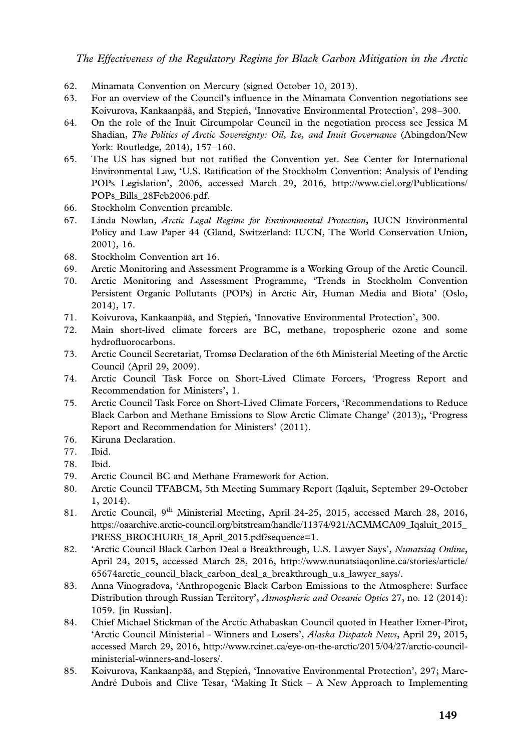- 62. Minamata Convention on Mercury (signed October 10, [2013\).](http://www.ciel.org/Publications/POPs_Bills_28Feb2006.pdf)
- 63. [For an overview of the Cou](http://www.ciel.org/Publications/POPs_Bills_28Feb2006.pdf)ncil's influence in the Minamata Convention negotiations see Koivurova, Kankaanpää, and Stępień, 'Innovative Environmental Protection', 298–300.
- 64. On the role of the Inuit Circumpolar Council in the negotiation process see Jessica M Shadian, The Politics of Arctic Sovereignty: Oil, Ice, and Inuit Governance (Abingdon/New York: Routledge, 2014), 157-160.
- 65. The US has signed but not ratified the Convention yet. See Center for International Environmental Law, 'U.S. Ratification of the Stockholm Convention: Analysis of Pending POPs Legislation', 2006, accessed March 29, 2016, http://www.ciel.org/Publications/ POPs\_Bills\_28Feb2006.pdf.
- 66. Stockholm Convention preamble.
- 67. Linda Nowlan, Arctic Legal Regime for Environmental Protection, IUCN Environmental Policy and Law Paper 44 (Gland, Switzerland: IUCN, The World Conservation Union, 2001), 16.
- 68. Stockholm Convention art 16.
- 69. Arctic Monitoring and Assessment Programme is a Working Group of the Arctic Council.
- 70. Arctic Monitoring and Assessment Programme, 'Trends in Stockholm Convention Persistent Organic Pollutants (POPs) in Arctic Air, Human Media and Biota' (Oslo, 2014), 17.
- 71. Koivurova, Kankaanpää, and Stepień, 'Innovative Environmental Protection', 300.
- 72. Main short-lived climate forcers are BC, methane, tropospheric ozone and some hydrofluorocarbons.
- 73. Arctic Council Secretariat, Tromsø Declaration of the 6th Ministerial Meeting of the Arctic Council (April 29, 2009).
- 74. Arctic Council Task Force on Short-Lived Climate Forcers, 'Progress Report and Recommendation for Ministers', 1.
- 75. Arctic Council Task Force on Short-Lived Climate Forcers, 'Recommendations to Reduce Black Carbon and Methane Emissions to Slow Arctic Climate Change' (2013);, 'Progress [Report and Recommendation for Ministers' \(2011\).](https://oaarchive.arctic-council.org/bitstream/handle/11374/921/ACMMCA09_Iqaluit_2015_PRESS_BROCHURE_18_April_2015.pdf?sequence=1)
- 76. [Kiruna Declaration.](https://oaarchive.arctic-council.org/bitstream/handle/11374/921/ACMMCA09_Iqaluit_2015_PRESS_BROCHURE_18_April_2015.pdf?sequence=1)
- 77. Ibid.
- 78. Ibid.
- 79. [Arctic Council BC and Methane Framework for Action.](http://www.nunatsiaqonline.ca/stories/article/65674arctic_council_black_carbon_deal_a_breakthrough_u.s_lawyer_says/)
- 80. Arctic Council TFABCM, 5th Meeting Summary Report (Iqaluit, September 29-October 1, 2014).
- 81. Arctic Council, 9th Ministerial Meeting, April 24-25, 2015, accessed March 28, 2016, https://oaarchive.arctic-council.org/bitstream/handle/11374/921/ACMMCA09\_Iqaluit\_2015\_ PRESS\_BROCHURE\_18\_April\_2015.pdf?sequence=1.
- 82. 'Arctic Council Black Car[bon Deal a Breakthrough, U.S. Lawyer Says',](http://www.rcinet.ca/eye-on-the-arctic/2015/04/27/arctic-council-ministerial-winners-and-losers/) Nunatsiaq Online, [April 24, 2015, accessed Mar](http://www.rcinet.ca/eye-on-the-arctic/2015/04/27/arctic-council-ministerial-winners-and-losers/)ch 28, 2016, http://www.nunatsiaqonline.ca/stories/article/ 65674arctic\_council\_black\_carbon\_deal\_a\_breakthrough\_u.s\_lawyer\_says/.
- 83. Anna Vinogradova, 'Anthropogenic Black Carbon Emissions to the Atmosphere: Surface Distribution through Russian Territory', Atmospheric and Oceanic Optics 27, no. 12 (2014): 1059. [in Russian].
- 84. Chief Michael Stickman of the Arctic Athabaskan Council quoted in Heather Exner-Pirot, 'Arctic Council Ministerial - Winners and Losers', Alaska Dispatch News, April 29, 2015, accessed March 29, 2016, http://www.rcinet.ca/eye-on-the-arctic/2015/04/27/arctic-councilministerial-winners-and-losers/.
- 85. Koivurova, Kankaanpää, and Stępień, 'Innovative Environmental Protection', 297; Marc-André Dubois and Clive Tesar, 'Making It Stick - A New Approach to Implementing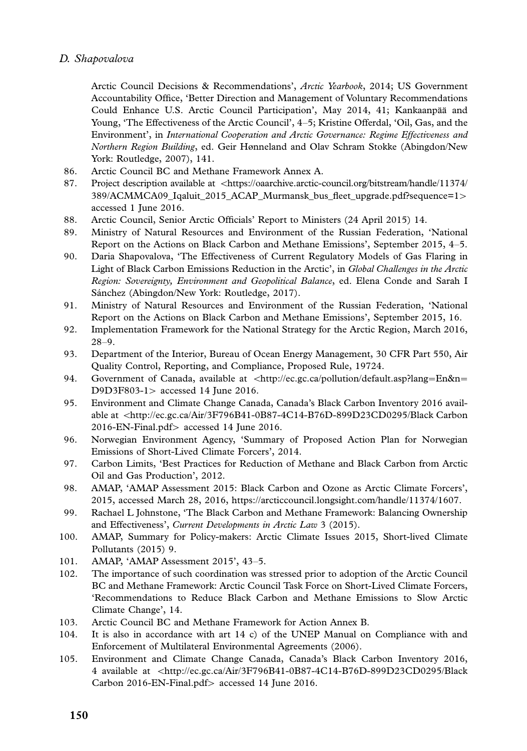Arctic Council Decisions & Recommendations', Arctic Yearbook[, 2014; US Government](https://oaarchive.arctic-council.org/bitstream/handle/11374/389/ACMMCA09_Iqaluit_2015_ACAP_Murmansk_bus_fleet_upgrade.pdf?sequence=1) [Accountability Office, 'Better Direction and Management of Voluntary Recommendation](https://oaarchive.arctic-council.org/bitstream/handle/11374/389/ACMMCA09_Iqaluit_2015_ACAP_Murmansk_bus_fleet_upgrade.pdf?sequence=1)s Could Enhance U.S. Arctic Council Participation', May 2014, 41; Kankaanpää and Young, 'The Effectiveness of the Arctic Council', 4-5; Kristine Offerdal, 'Oil, Gas, and the Environment', in International Cooperation and Arctic Governance: Regime Effectiveness and Northern Region Building, ed. Geir Hønneland and Olav Schram Stokke (Abingdon/New York: Routledge, 2007), 141.

- 86. Arctic Council BC and Methane Framework Annex A.
- 87. Project description available at <https://oaarchive.arctic-council.org/bitstream/handle/11374/ 389/ACMMCA09\_Iqaluit\_2015\_ACAP\_Murmansk\_bus\_fleet\_upgrade.pdf?sequence=1 accessed 1 June 2016.
- 88. Arctic Council, Senior Arctic Officials' Report to Ministers (24 April 2015) 14.
- 89. Ministry of Natural Resources and Environment of the Russian Federation, 'National Report on the Actions on Black Carbon and Methane Emissions', September 2015, 4-5.
- 90. Daria Shapovalova, 'The Effectiveness of Current Regulatory Models of Gas Flaring in Light of Black Carbon Emissions Reduction in the Arctic', in Global Challenges in the Arctic Region: Sovereignty, Environment and Geopolitical Balance[, ed. Elena Conde an](http://ec.gc.ca/pollution/default.asp?lang=En&n=D9D3F803-1)d [Sarah](http://ec.gc.ca/pollution/default.asp?lang=En&n=D9D3F803-1) I Sánchez (Abingdon/New York: Routledge, 2017).
- 91. Ministry of Natural Resources and Environment of the Russian Federation, 'National Report o[n the Actions on Black Carbon and Methane Emissions', September 2015, 16.](http://ec.gc.ca/Air/3F796B41-0B87-4C14-B76D-899D23CD0295/Black%20Carbon%202016-EN-Final.pdf)
- 92. [Implementation Fra](http://ec.gc.ca/Air/3F796B41-0B87-4C14-B76D-899D23CD0295/Black%20Carbon%202016-EN-Final.pdf)mework for the National Strategy for the Arctic Region, March 2016, 28-9.
- 93. Department of the Interior, Bureau of Ocean Energy Management, 30 CFR Part 550, Air Quality Control, Reporting, and Compliance, Proposed Rule, 19724.
- 94. Government of Canada, available at  $\langle$ http://ec.gc.ca/pollution/default.asp?lang=En&n= D9D3F803-1> accessed 14 June 2016.
- 95. Environment and Climate Chang[e Canada, Canada's Black Carbon Inventory 2016 avai](https://arcticcouncil.longsight.com/handle/11374/1607)lable at <http://ec.gc.ca/Air/3F796B41-0B87-4C14-B76D-899D23CD0295/Black Carbon 2016-EN-Final.pdf> accessed 14 June 2016.
- 96. Norwegian Environment Agency, 'Summary of Proposed Action Plan for Norwegian Emissions of Short-Lived Climate Forcers', 2014.
- 97. Carbon Limits, 'Best Practices for Reduction of Methane and Black Carbon from Arctic Oil and Gas Production', 2012.
- 98. AMAP, 'AMAP Assessment 2015: Black Carbon and Ozone as Arctic Climate Forcers', 2015, accessed March 28, 2016, https://arcticcouncil.longsight.com/handle/11374/1607.
- 99. Rachael L Johnstone, 'The Black Carbon and Methane Framework: Balancing Ownership and Effectiveness', Current Developments in Arctic Law 3 (2015).
- 100. AMAP, Summary for Policy-makers: Arctic Climate Issues 2015, Short-lived Climate Pollutants (2015) 9.
- 101. AMAP, 'AMAP Assessment 2015', 43-5.
- 102. The importance [of such coordination was stressed prior to adoption of the Arctic Council](http://ec.gc.ca/Air/3F796B41-0B87-4C14-B76D-899D23CD0295/Black%20Carbon%202016-EN-Final.pdf) [BC and Methane Framewor](http://ec.gc.ca/Air/3F796B41-0B87-4C14-B76D-899D23CD0295/Black%20Carbon%202016-EN-Final.pdf)k: Arctic Council Task Force on Short-Lived Climate Forcers, 'Recommendations to Reduce Black Carbon and Methane Emissions to Slow Arctic Climate Change', 14.
- 103. Arctic Council BC and Methane Framework for Action Annex B.
- 104. It is also in accordance with art 14 c) of the UNEP Manual on Compliance with and Enforcement of Multilateral Environmental Agreements (2006).
- 105. Environment and Climate Change Canada, Canada's Black Carbon Inventory 2016, 4 available at <http://ec.gc.ca/Air/3F796B41-0B87-4C14-B76D-899D23CD0295/Black Carbon 2016-EN-Final.pdf> accessed 14 June 2016.